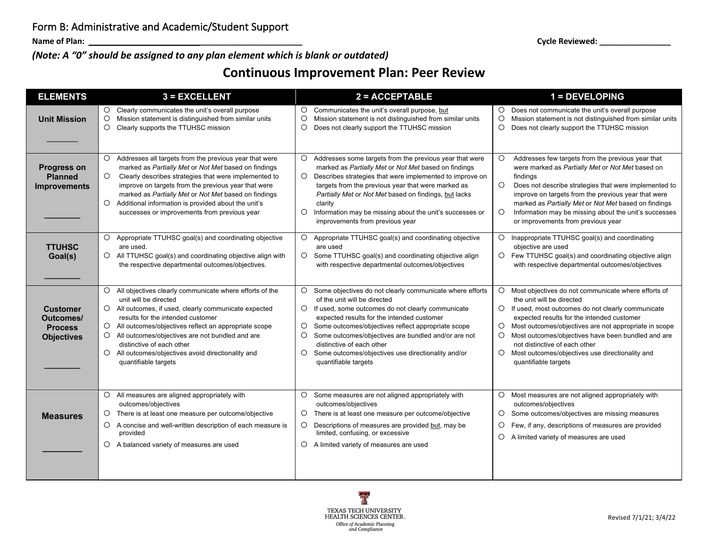**Name of Plan: \_\_\_\_\_\_\_\_\_\_\_\_\_\_\_\_\_\_\_\_\_\_\_\_\_\_\_\_\_\_\_\_\_\_\_\_\_\_\_\_\_\_\_\_\_\_\_\_ Cycle Reviewed: \_\_\_\_\_\_\_\_\_\_\_\_\_\_\_\_**

*(Note: A "0" should be assigned to any plan element which is blank or outdated)*

## **Continuous Improvement Plan: Peer Review**

| <b>ELEMENTS</b>                                                     | $3 = EXCELLENT$                                                                                                                                                                                                                                                                                                                                                                                                                                         | $2 = ACCEPTABLE$                                                                                                                                                                                                                                                                                                                                                                                                                                                           | 1 = DEVELOPING                                                                                                                                                                                                                                                                                                                                                                                                                                                        |
|---------------------------------------------------------------------|---------------------------------------------------------------------------------------------------------------------------------------------------------------------------------------------------------------------------------------------------------------------------------------------------------------------------------------------------------------------------------------------------------------------------------------------------------|----------------------------------------------------------------------------------------------------------------------------------------------------------------------------------------------------------------------------------------------------------------------------------------------------------------------------------------------------------------------------------------------------------------------------------------------------------------------------|-----------------------------------------------------------------------------------------------------------------------------------------------------------------------------------------------------------------------------------------------------------------------------------------------------------------------------------------------------------------------------------------------------------------------------------------------------------------------|
| <b>Unit Mission</b>                                                 | Clearly communicates the unit's overall purpose<br>$\circ$<br>$\circ$<br>Mission statement is distinguished from similar units<br>$\circ$<br>Clearly supports the TTUHSC mission                                                                                                                                                                                                                                                                        | Communicates the unit's overall purpose, but<br>$\circ$<br>$\circ$<br>Mission statement is not distinguished from similar units<br>$\circ$<br>Does not clearly support the TTUHSC mission                                                                                                                                                                                                                                                                                  | $\circ$<br>Does not communicate the unit's overall purpose<br>$\circ$<br>Mission statement is not distinguished from similar units<br>$\circ$<br>Does not clearly support the TTUHSC mission                                                                                                                                                                                                                                                                          |
| <b>Progress on</b><br><b>Planned</b><br><b>Improvements</b>         | Addresses all targets from the previous year that were<br>marked as Partially Met or Not Met based on findings<br>$\circ$<br>Clearly describes strategies that were implemented to<br>improve on targets from the previous year that were<br>marked as Partially Met or Not Met based on findings<br>Additional information is provided about the unit's<br>$\circ$<br>successes or improvements from previous year                                     | $\circ$<br>Addresses some targets from the previous year that were<br>marked as Partially Met or Not Met based on findings<br>$\circ$<br>Describes strategies that were implemented to improve on<br>targets from the previous year that were marked as<br>Partially Met or Not Met based on findings, but lacks<br>clarity<br>$\circ$<br>Information may be missing about the unit's successes or<br>improvements from previous year                                      | $\circ$<br>Addresses few targets from the previous year that<br>were marked as Partially Met or Not Met based on<br>findings<br>$\circ$<br>Does not describe strategies that were implemented to<br>improve on targets from the previous year that were<br>marked as Partially Met or Not Met based on findings<br>$\circ$<br>Information may be missing about the unit's successes<br>or improvements from previous year                                             |
| <b>TTUHSC</b><br>Goal(s)                                            | $\circ$<br>Appropriate TTUHSC goal(s) and coordinating objective<br>are used.<br>O All TTUHSC goal(s) and coordinating objective align with<br>the respective departmental outcomes/objectives.                                                                                                                                                                                                                                                         | $\circ$<br>Appropriate TTUHSC goal(s) and coordinating objective<br>are used<br>Some TTUHSC goal(s) and coordinating objective align<br>$\circ$<br>with respective departmental outcomes/objectives                                                                                                                                                                                                                                                                        | $\circ$<br>Inappropriate TTUHSC goal(s) and coordinating<br>objective are used<br>Few TTUHSC goal(s) and coordinating objective align<br>$\circ$<br>with respective departmental outcomes/objectives                                                                                                                                                                                                                                                                  |
| <b>Customer</b><br>Outcomes/<br><b>Process</b><br><b>Objectives</b> | $\circ$<br>All objectives clearly communicate where efforts of the<br>unit will be directed<br>All outcomes, if used, clearly communicate expected<br>$\circ$<br>results for the intended customer<br>$\circ$<br>All outcomes/objectives reflect an appropriate scope<br>All outcomes/objectives are not bundled and are<br>$\circ$<br>distinctive of each other<br>$\circ$<br>All outcomes/objectives avoid directionality and<br>quantifiable targets | $\circ$<br>Some objectives do not clearly communicate where efforts<br>of the unit will be directed<br>$\circ$<br>If used, some outcomes do not clearly communicate<br>expected results for the intended customer<br>$\circ$<br>Some outcomes/objectives reflect appropriate scope<br>$\circ$<br>Some outcomes/objectives are bundled and/or are not<br>distinctive of each other<br>$\circ$<br>Some outcomes/objectives use directionality and/or<br>quantifiable targets | $\circ$<br>Most objectives do not communicate where efforts of<br>the unit will be directed<br>If used, most outcomes do not clearly communicate<br>$\circ$<br>expected results for the intended customer<br>Most outcomes/objectives are not appropriate in scope<br>$\circ$<br>$\circ$<br>Most outcomes/objectives have been bundled and are<br>not distinctive of each other<br>Most outcomes/objectives use directionality and<br>$\circ$<br>quantifiable targets |
| <b>Measures</b>                                                     | $\circ$<br>All measures are aligned appropriately with<br>outcomes/objectives<br>There is at least one measure per outcome/objective<br>$\circ$<br>A concise and well-written description of each measure is<br>O<br>provided<br>A balanced variety of measures are used<br>$\circ$                                                                                                                                                                     | $\circ$<br>Some measures are not aligned appropriately with<br>outcomes/objectives<br>There is at least one measure per outcome/objective<br>$\circ$<br>$\circ$<br>Descriptions of measures are provided but, may be<br>limited, confusing, or excessive<br>$\circ$<br>A limited variety of measures are used                                                                                                                                                              | $\circ$<br>Most measures are not aligned appropriately with<br>outcomes/objectives<br>Some outcomes/objectives are missing measures<br>$\circ$<br>$\circ$<br>Few, if any, descriptions of measures are provided<br>$\circ$<br>A limited variety of measures are used                                                                                                                                                                                                  |